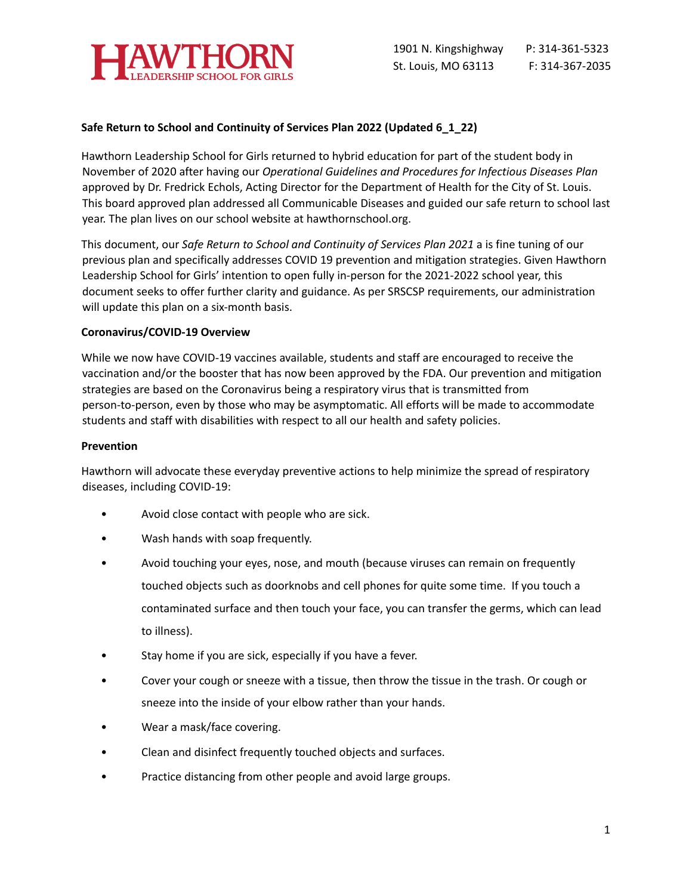

## **Safe Return to School and Continuity of Services Plan 2022 (Updated 6\_1\_22)**

Hawthorn Leadership School for Girls returned to hybrid education for part of the student body in November of 2020 after having our *Operational Guidelines and Procedures for Infectious Diseases Plan* approved by Dr. Fredrick Echols, Acting Director for the Department of Health for the City of St. Louis. This board approved plan addressed all Communicable Diseases and guided our safe return to school last year. The plan lives on our school website at hawthornschool.org.

This document, our *Safe Return to School and Continuity of Services Plan 2021* a is fine tuning of our previous plan and specifically addresses COVID 19 prevention and mitigation strategies. Given Hawthorn Leadership School for Girls' intention to open fully in-person for the 2021-2022 school year, this document seeks to offer further clarity and guidance. As per SRSCSP requirements, our administration will update this plan on a six-month basis.

### **Coronavirus/COVID-19 Overview**

While we now have COVID-19 vaccines available, students and staff are encouraged to receive the vaccination and/or the booster that has now been approved by the FDA. Our prevention and mitigation strategies are based on the Coronavirus being a respiratory virus that is transmitted from person-to-person, even by those who may be asymptomatic. All efforts will be made to accommodate students and staff with disabilities with respect to all our health and safety policies.

#### **Prevention**

Hawthorn will advocate these everyday preventive actions to help minimize the spread of respiratory diseases, including COVID-19:

- Avoid close contact with people who are sick.
- Wash hands with soap frequently.
- Avoid touching your eyes, nose, and mouth (because viruses can remain on frequently touched objects such as doorknobs and cell phones for quite some time. If you touch a contaminated surface and then touch your face, you can transfer the germs, which can lead to illness).
- Stay home if you are sick, especially if you have a fever.
- Cover your cough or sneeze with a tissue, then throw the tissue in the trash. Or cough or sneeze into the inside of your elbow rather than your hands.
- Wear a mask/face covering.
- Clean and disinfect frequently touched objects and surfaces.
- Practice distancing from other people and avoid large groups.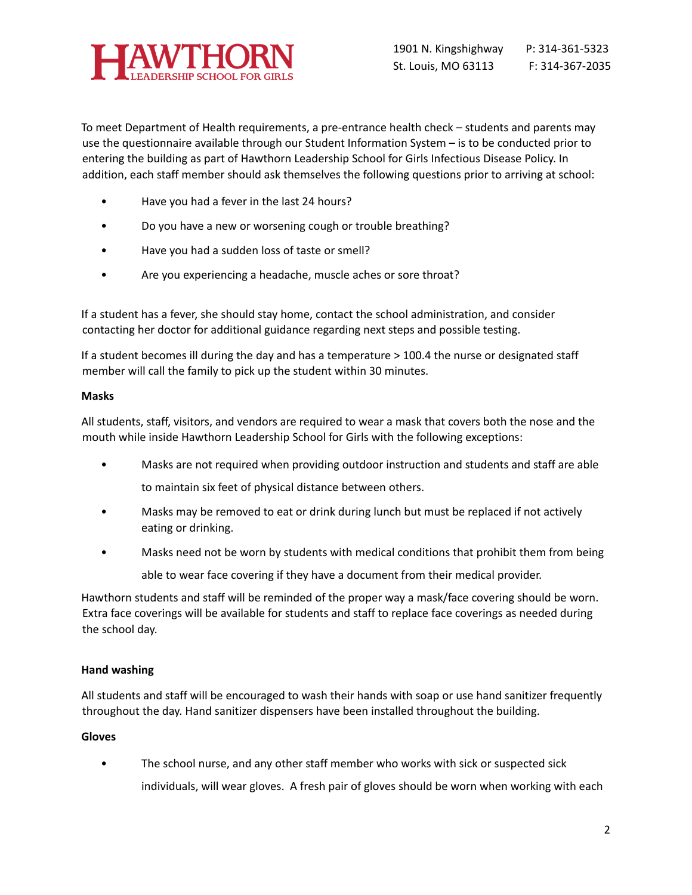

To meet Department of Health requirements, a pre-entrance health check – students and parents may use the questionnaire available through our Student Information System – is to be conducted prior to entering the building as part of Hawthorn Leadership School for Girls Infectious Disease Policy. In addition, each staff member should ask themselves the following questions prior to arriving at school:

- Have you had a fever in the last 24 hours?
- Do you have a new or worsening cough or trouble breathing?
- Have you had a sudden loss of taste or smell?
- Are you experiencing a headache, muscle aches or sore throat?

If a student has a fever, she should stay home, contact the school administration, and consider contacting her doctor for additional guidance regarding next steps and possible testing.

If a student becomes ill during the day and has a temperature > 100.4 the nurse or designated staff member will call the family to pick up the student within 30 minutes.

## **Masks**

All students, staff, visitors, and vendors are required to wear a mask that covers both the nose and the mouth while inside Hawthorn Leadership School for Girls with the following exceptions:

- Masks are not required when providing outdoor instruction and students and staff are able to maintain six feet of physical distance between others.
- Masks may be removed to eat or drink during lunch but must be replaced if not actively eating or drinking.
- Masks need not be worn by students with medical conditions that prohibit them from being able to wear face covering if they have a document from their medical provider.

Hawthorn students and staff will be reminded of the proper way a mask/face covering should be worn. Extra face coverings will be available for students and staff to replace face coverings as needed during the school day.

# **Hand washing**

All students and staff will be encouraged to wash their hands with soap or use hand sanitizer frequently throughout the day. Hand sanitizer dispensers have been installed throughout the building.

# **Gloves**

• The school nurse, and any other staff member who works with sick or suspected sick individuals, will wear gloves. A fresh pair of gloves should be worn when working with each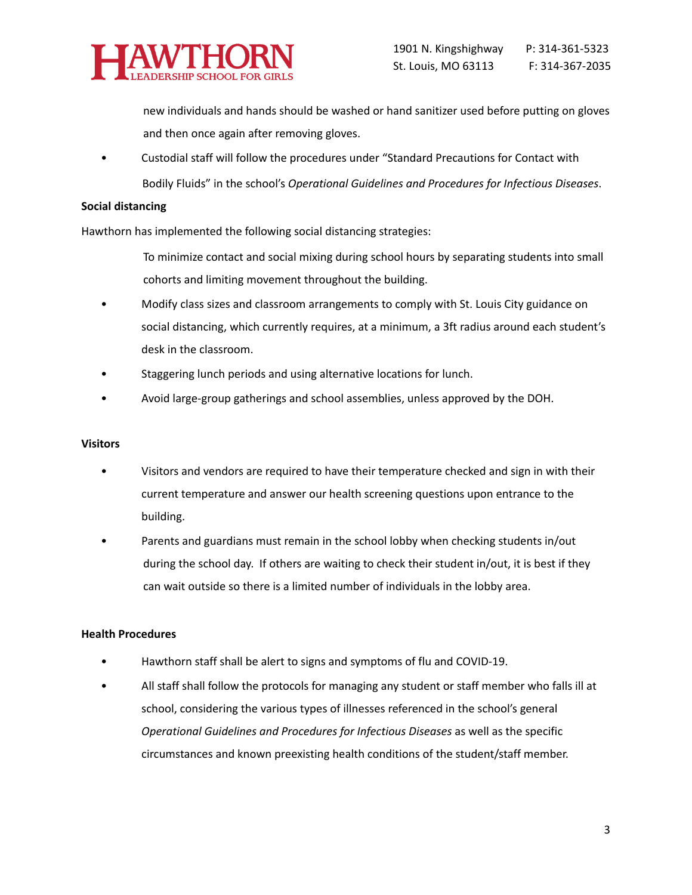

new individuals and hands should be washed or hand sanitizer used before putting on gloves and then once again after removing gloves.

• Custodial staff will follow the procedures under "Standard Precautions for Contact with Bodily Fluids" in the school's *Operational Guidelines and Procedures for Infectious Diseases*.

#### **Social distancing**

Hawthorn has implemented the following social distancing strategies:

To minimize contact and social mixing during school hours by separating students into small cohorts and limiting movement throughout the building.

- Modify class sizes and classroom arrangements to comply with St. Louis City guidance on social distancing, which currently requires, at a minimum, a 3ft radius around each student's desk in the classroom.
- Staggering lunch periods and using alternative locations for lunch.
- Avoid large-group gatherings and school assemblies, unless approved by the DOH.

### **Visitors**

- Visitors and vendors are required to have their temperature checked and sign in with their current temperature and answer our health screening questions upon entrance to the building.
- Parents and guardians must remain in the school lobby when checking students in/out during the school day. If others are waiting to check their student in/out, it is best if they can wait outside so there is a limited number of individuals in the lobby area.

#### **Health Procedures**

- Hawthorn staff shall be alert to signs and symptoms of flu and COVID-19.
- All staff shall follow the protocols for managing any student or staff member who falls ill at school, considering the various types of illnesses referenced in the school's general *Operational Guidelines and Procedures for Infectious Diseases* as well as the specific circumstances and known preexisting health conditions of the student/staff member.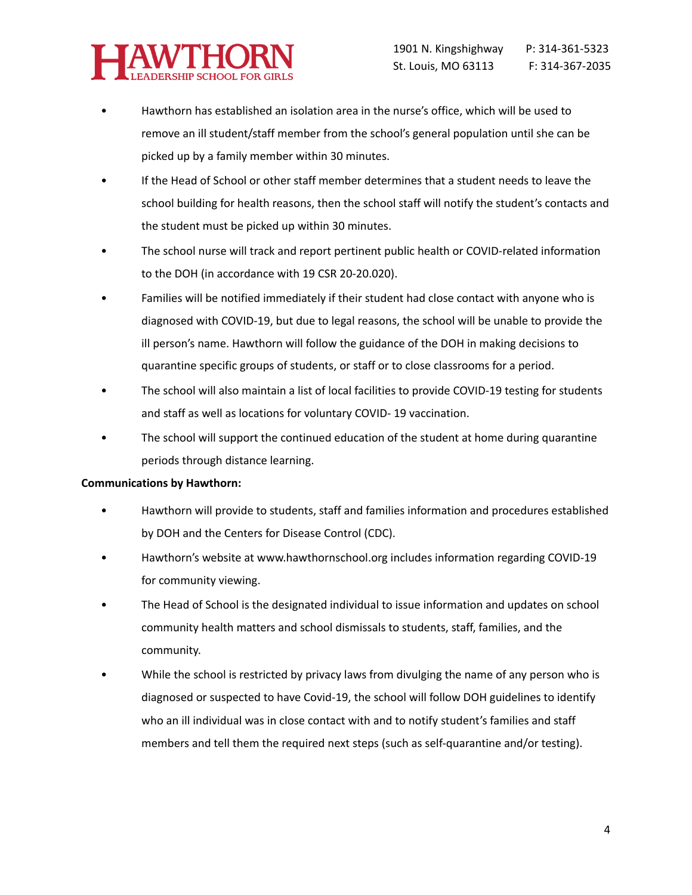

- Hawthorn has established an isolation area in the nurse's office, which will be used to remove an ill student/staff member from the school's general population until she can be picked up by a family member within 30 minutes.
- If the Head of School or other staff member determines that a student needs to leave the school building for health reasons, then the school staff will notify the student's contacts and the student must be picked up within 30 minutes.
- The school nurse will track and report pertinent public health or COVID-related information to the DOH (in accordance with 19 CSR 20-20.020).
- Families will be notified immediately if their student had close contact with anyone who is diagnosed with COVID-19, but due to legal reasons, the school will be unable to provide the ill person's name. Hawthorn will follow the guidance of the DOH in making decisions to quarantine specific groups of students, or staff or to close classrooms for a period.
- The school will also maintain a list of local facilities to provide COVID-19 testing for students and staff as well as locations for voluntary COVID- 19 vaccination.
- The school will support the continued education of the student at home during quarantine periods through distance learning.

## **Communications by Hawthorn:**

- Hawthorn will provide to students, staff and families information and procedures established by DOH and the Centers for Disease Control (CDC).
- Hawthorn's website at www.hawthornschool.org includes information regarding COVID-19 for community viewing.
- The Head of School is the designated individual to issue information and updates on school community health matters and school dismissals to students, staff, families, and the community.
- While the school is restricted by privacy laws from divulging the name of any person who is diagnosed or suspected to have Covid-19, the school will follow DOH guidelines to identify who an ill individual was in close contact with and to notify student's families and staff members and tell them the required next steps (such as self-quarantine and/or testing).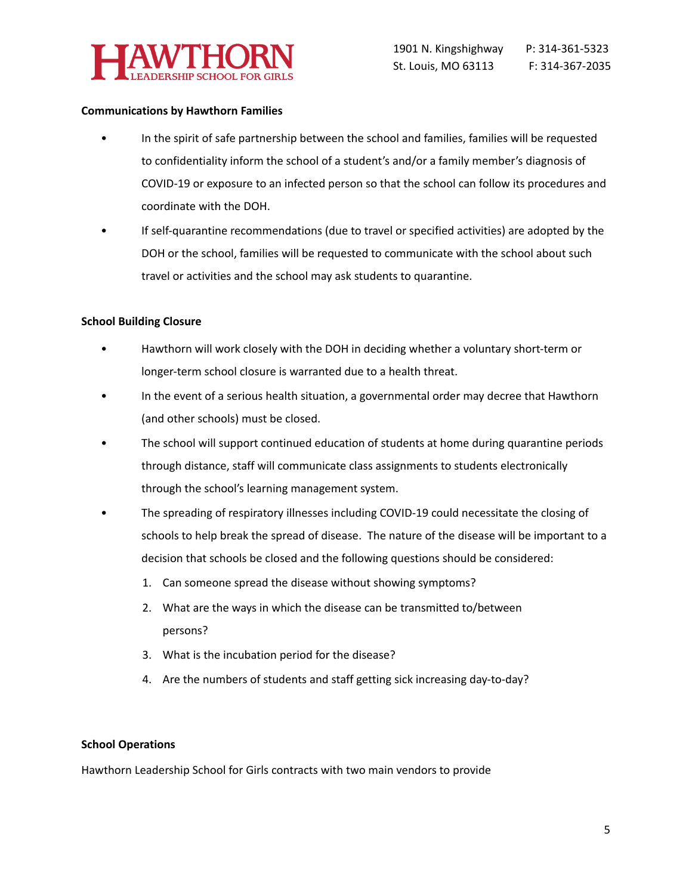

### **Communications by Hawthorn Families**

- In the spirit of safe partnership between the school and families, families will be requested to confidentiality inform the school of a student's and/or a family member's diagnosis of COVID-19 or exposure to an infected person so that the school can follow its procedures and coordinate with the DOH.
- If self-quarantine recommendations (due to travel or specified activities) are adopted by the DOH or the school, families will be requested to communicate with the school about such travel or activities and the school may ask students to quarantine.

### **School Building Closure**

- Hawthorn will work closely with the DOH in deciding whether a voluntary short-term or longer-term school closure is warranted due to a health threat.
- In the event of a serious health situation, a governmental order may decree that Hawthorn (and other schools) must be closed.
- The school will support continued education of students at home during quarantine periods through distance, staff will communicate class assignments to students electronically through the school's learning management system.
- The spreading of respiratory illnesses including COVID-19 could necessitate the closing of schools to help break the spread of disease. The nature of the disease will be important to a decision that schools be closed and the following questions should be considered:
	- 1. Can someone spread the disease without showing symptoms?
	- 2. What are the ways in which the disease can be transmitted to/between persons?
	- 3. What is the incubation period for the disease?
	- 4. Are the numbers of students and staff getting sick increasing day-to-day?

## **School Operations**

Hawthorn Leadership School for Girls contracts with two main vendors to provide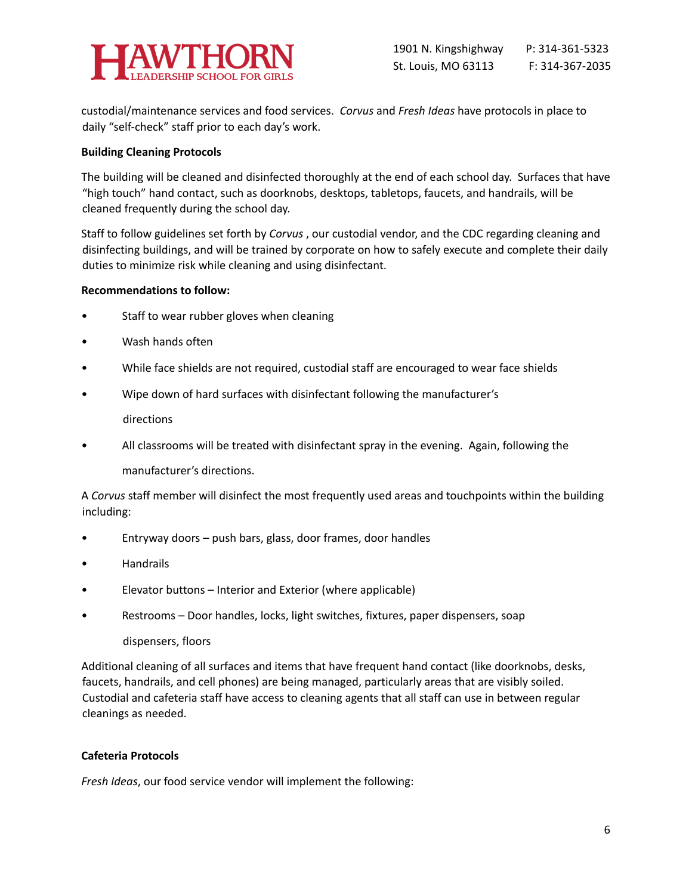

custodial/maintenance services and food services. *Corvus* and *Fresh Ideas* have protocols in place to daily "self-check" staff prior to each day's work.

### **Building Cleaning Protocols**

The building will be cleaned and disinfected thoroughly at the end of each school day. Surfaces that have "high touch" hand contact, such as doorknobs, desktops, tabletops, faucets, and handrails, will be cleaned frequently during the school day.

Staff to follow guidelines set forth by *Corvus* , our custodial vendor, and the CDC regarding cleaning and disinfecting buildings, and will be trained by corporate on how to safely execute and complete their daily duties to minimize risk while cleaning and using disinfectant.

### **Recommendations to follow:**

- Staff to wear rubber gloves when cleaning
- Wash hands often
- While face shields are not required, custodial staff are encouraged to wear face shields
- Wipe down of hard surfaces with disinfectant following the manufacturer's

directions

• All classrooms will be treated with disinfectant spray in the evening. Again, following the

manufacturer's directions.

A *Corvus* staff member will disinfect the most frequently used areas and touchpoints within the building including:

- Entryway doors push bars, glass, door frames, door handles
- Handrails
- Elevator buttons Interior and Exterior (where applicable)
- Restrooms Door handles, locks, light switches, fixtures, paper dispensers, soap

## dispensers, floors

Additional cleaning of all surfaces and items that have frequent hand contact (like doorknobs, desks, faucets, handrails, and cell phones) are being managed, particularly areas that are visibly soiled. Custodial and cafeteria staff have access to cleaning agents that all staff can use in between regular cleanings as needed.

## **Cafeteria Protocols**

*Fresh Ideas*, our food service vendor will implement the following: